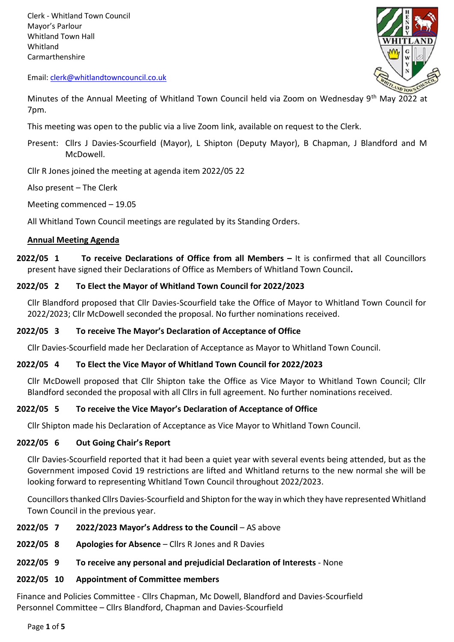

Email: [clerk@whitlandtowncouncil.co.uk](mailto:clerk@whitlandtowncouncil.co.uk)

Minutes of the Annual Meeting of Whitland Town Council held via Zoom on Wednesday 9th May 2022 at 7pm.

This meeting was open to the public via a live Zoom link, available on request to the Clerk.

Present: Cllrs J Davies-Scourfield (Mayor), L Shipton (Deputy Mayor), B Chapman, J Blandford and M McDowell.

Cllr R Jones joined the meeting at agenda item 2022/05 22

Also present – The Clerk

Meeting commenced – 19.05

All Whitland Town Council meetings are regulated by its Standing Orders.

## **Annual Meeting Agenda**

**2022/05 1 To receive Declarations of Office from all Members –** It is confirmed that all Councillors present have signed their Declarations of Office as Members of Whitland Town Council**.** 

#### **2022/05 2 To Elect the Mayor of Whitland Town Council for 2022/2023**

Cllr Blandford proposed that Cllr Davies-Scourfield take the Office of Mayor to Whitland Town Council for 2022/2023; Cllr McDowell seconded the proposal. No further nominations received.

#### **2022/05 3 To receive The Mayor's Declaration of Acceptance of Office**

Cllr Davies-Scourfield made her Declaration of Acceptance as Mayor to Whitland Town Council.

#### **2022/05 4 To Elect the Vice Mayor of Whitland Town Council for 2022/2023**

Cllr McDowell proposed that Cllr Shipton take the Office as Vice Mayor to Whitland Town Council; Cllr Blandford seconded the proposal with all Cllrs in full agreement. No further nominations received.

#### **2022/05 5 To receive the Vice Mayor's Declaration of Acceptance of Office**

Cllr Shipton made his Declaration of Acceptance as Vice Mayor to Whitland Town Council.

#### **2022/05 6 Out Going Chair's Report**

Cllr Davies-Scourfield reported that it had been a quiet year with several events being attended, but as the Government imposed Covid 19 restrictions are lifted and Whitland returns to the new normal she will be looking forward to representing Whitland Town Council throughout 2022/2023.

Councillors thanked Cllrs Davies-Scourfield and Shipton for the way in which they have represented Whitland Town Council in the previous year.

- **2022/05 7 2022/2023 Mayor's Address to the Council** AS above
- **2022/05 8 Apologies for Absence** Cllrs R Jones and R Davies

## **2022/05 9 To receive any personal and prejudicial Declaration of Interests** - None

## **2022/05 10 Appointment of Committee members**

Finance and Policies Committee - Cllrs Chapman, Mc Dowell, Blandford and Davies-Scourfield Personnel Committee – Cllrs Blandford, Chapman and Davies-Scourfield

Page **1** of **5**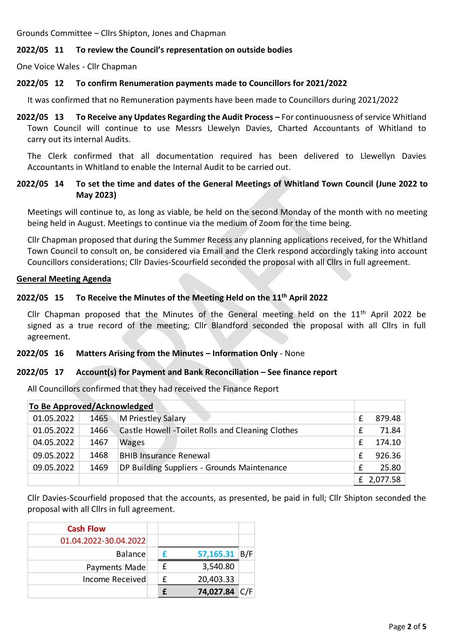Grounds Committee – Cllrs Shipton, Jones and Chapman

### **2022/05 11 To review the Council's representation on outside bodies**

One Voice Wales - Cllr Chapman

#### **2022/05 12 To confirm Renumeration payments made to Councillors for 2021/2022**

It was confirmed that no Remuneration payments have been made to Councillors during 2021/2022

**2022/05 13 To Receive any Updates Regarding the Audit Process –** For continuousness of service Whitland Town Council will continue to use Messrs Llewelyn Davies, Charted Accountants of Whitland to carry out its internal Audits.

The Clerk confirmed that all documentation required has been delivered to Llewellyn Davies Accountants in Whitland to enable the Internal Audit to be carried out.

## **2022/05 14 To set the time and dates of the General Meetings of Whitland Town Council (June 2022 to May 2023)**

Meetings will continue to, as long as viable, be held on the second Monday of the month with no meeting being held in August. Meetings to continue via the medium of Zoom for the time being.

Cllr Chapman proposed that during the Summer Recess any planning applications received, for the Whitland Town Council to consult on, be considered via Email and the Clerk respond accordingly taking into account Councillors considerations; Cllr Davies-Scourfield seconded the proposal with all Cllrs in full agreement.

#### **General Meeting Agenda**

## **2022/05 15 To Receive the Minutes of the Meeting Held on the 11 th April 2022**

Cllr Chapman proposed that the Minutes of the General meeting held on the  $11<sup>th</sup>$  April 2022 be signed as a true record of the meeting; Cllr Blandford seconded the proposal with all Cllrs in full agreement.

#### **2022/05 16 Matters Arising from the Minutes – Information Only** - None

#### **2022/05 17 Account(s) for Payment and Bank Reconciliation – See finance report**

All Councillors confirmed that they had received the Finance Report

| To Be Approved/Acknowledged |      |                                                   |   |            |  |
|-----------------------------|------|---------------------------------------------------|---|------------|--|
| 01.05.2022                  | 1465 | M Priestley Salary                                | £ | 879.48     |  |
| 01.05.2022                  | 1466 | Castle Howell - Toilet Rolls and Cleaning Clothes |   | 71.84      |  |
| 04.05.2022                  | 1467 | <b>Wages</b>                                      | f | 174.10     |  |
| 09.05.2022                  | 1468 | <b>BHIB Insurance Renewal</b>                     | f | 926.36     |  |
| 09.05.2022                  | 1469 | DP Building Suppliers - Grounds Maintenance       |   | 25.80      |  |
|                             |      |                                                   |   | £ 2,077.58 |  |

Cllr Davies-Scourfield proposed that the accounts, as presented, be paid in full; Cllr Shipton seconded the proposal with all Cllrs in full agreement.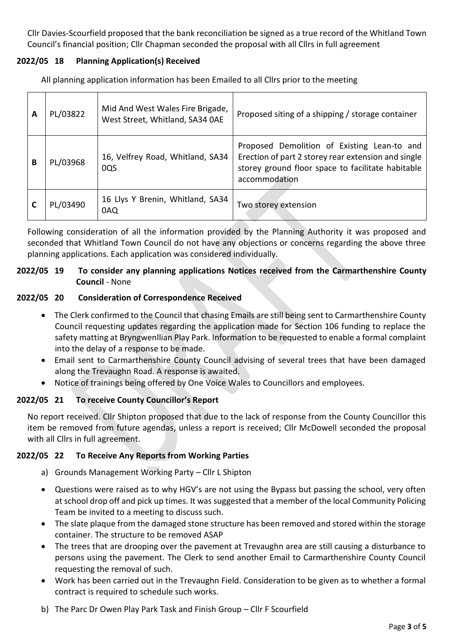Cllr Davies-Scourfield proposed that the bank reconciliation be signed as a true record of the Whitland Town Council's financial position; Cllr Chapman seconded the proposal with all Cllrs in full agreement

# **2022/05 18 Planning Application(s) Received**

All planning application information has been Emailed to all Cllrs prior to the meeting

| A | PL/03822 | Mid And West Wales Fire Brigade,<br>West Street, Whitland, SA34 OAE | Proposed siting of a shipping / storage container                                                                                                                        |
|---|----------|---------------------------------------------------------------------|--------------------------------------------------------------------------------------------------------------------------------------------------------------------------|
| В | PL/03968 | 16, Velfrey Road, Whitland, SA34<br>0QS                             | Proposed Demolition of Existing Lean-to and<br>Erection of part 2 storey rear extension and single<br>storey ground floor space to facilitate habitable<br>accommodation |
|   | PL/03490 | 16 Llys Y Brenin, Whitland, SA34<br>0AQ                             | Two storey extension                                                                                                                                                     |

Following consideration of all the information provided by the Planning Authority it was proposed and seconded that Whitland Town Council do not have any objections or concerns regarding the above three planning applications. Each application was considered individually.

# **2022/05 19 To consider any planning applications Notices received from the Carmarthenshire County Council** - None

# **2022/05 20 Consideration of Correspondence Received**

- The Clerk confirmed to the Council that chasing Emails are still being sent to Carmarthenshire County Council requesting updates regarding the application made for Section 106 funding to replace the safety matting at Bryngwenllian Play Park. Information to be requested to enable a formal complaint into the delay of a response to be made.
- Email sent to Carmarthenshire County Council advising of several trees that have been damaged along the Trevaughn Road. A response is awaited.
- Notice of trainings being offered by One Voice Wales to Councillors and employees.

# **2022/05 21 To receive County Councillor's Report**

No report received. Cllr Shipton proposed that due to the lack of response from the County Councillor this item be removed from future agendas, unless a report is received; Cllr McDowell seconded the proposal with all Cllrs in full agreement.

# **2022/05 22 To Receive Any Reports from Working Parties**

- a) Grounds Management Working Party Cllr L Shipton
- Questions were raised as to why HGV's are not using the Bypass but passing the school, very often at school drop off and pick up times. It was suggested that a member of the local Community Policing Team be invited to a meeting to discuss such.
- The slate plaque from the damaged stone structure has been removed and stored within the storage container. The structure to be removed ASAP
- The trees that are drooping over the pavement at Trevaughn area are still causing a disturbance to persons using the pavement. The Clerk to send another Email to Carmarthenshire County Council requesting the removal of such.
- Work has been carried out in the Trevaughn Field. Consideration to be given as to whether a formal contract is required to schedule such works.
- b) The Parc Dr Owen Play Park Task and Finish Group Cllr F Scourfield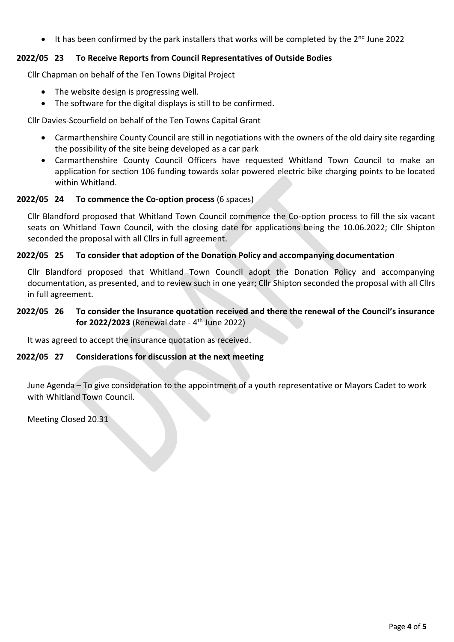$\bullet$  It has been confirmed by the park installers that works will be completed by the 2<sup>nd</sup> June 2022

## **2022/05 23 To Receive Reports from Council Representatives of Outside Bodies**

Cllr Chapman on behalf of the Ten Towns Digital Project

- The website design is progressing well.
- The software for the digital displays is still to be confirmed.

Cllr Davies-Scourfield on behalf of the Ten Towns Capital Grant

- Carmarthenshire County Council are still in negotiations with the owners of the old dairy site regarding the possibility of the site being developed as a car park
- Carmarthenshire County Council Officers have requested Whitland Town Council to make an application for section 106 funding towards solar powered electric bike charging points to be located within Whitland.

## **2022/05 24 To commence the Co-option process** (6 spaces)

Cllr Blandford proposed that Whitland Town Council commence the Co-option process to fill the six vacant seats on Whitland Town Council, with the closing date for applications being the 10.06.2022; Cllr Shipton seconded the proposal with all Cllrs in full agreement.

## **2022/05 25 To consider that adoption of the Donation Policy and accompanying documentation**

Cllr Blandford proposed that Whitland Town Council adopt the Donation Policy and accompanying documentation, as presented, and to review such in one year; Cllr Shipton seconded the proposal with all Cllrs in full agreement.

# **2022/05 26 To consider the Insurance quotation received and there the renewal of the Council's insurance for 2022/2023** (Renewal date - 4 th June 2022)

It was agreed to accept the insurance quotation as received.

## **2022/05 27 Considerations for discussion at the next meeting**

June Agenda – To give consideration to the appointment of a youth representative or Mayors Cadet to work with Whitland Town Council.

Meeting Closed 20.31